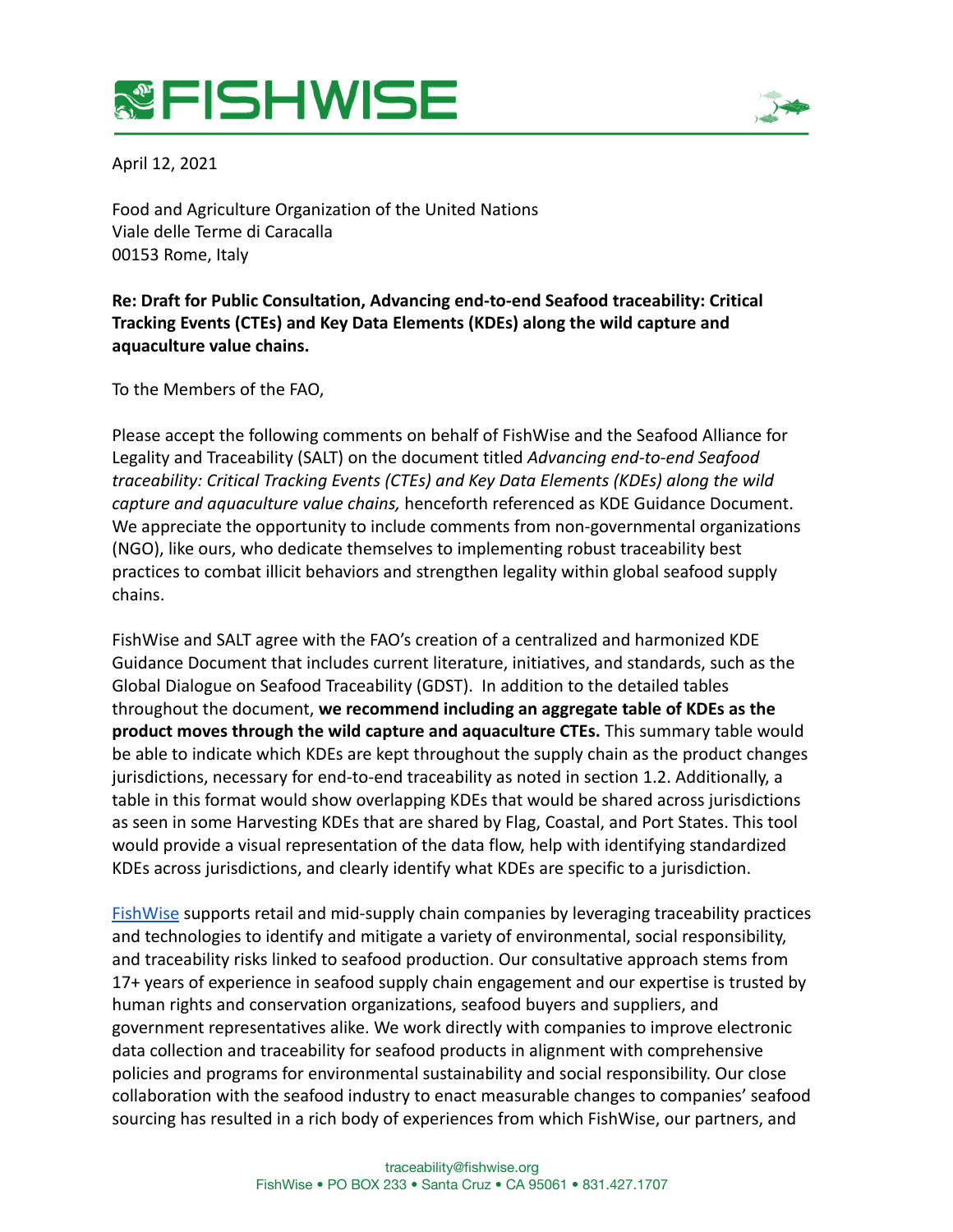## **&FISHWISE**



April 12, 2021

Food and Agriculture Organization of the United Nations Viale delle Terme di Caracalla 00153 Rome, Italy

## **Re: Draft for Public Consultation, Advancing end-to-end Seafood traceability: Critical Tracking Events (CTEs) and Key Data Elements (KDEs) along the wild capture and aquaculture value chains.**

To the Members of the FAO,

Please accept the following comments on behalf of FishWise and the Seafood Alliance for Legality and Traceability (SALT) on the document titled *Advancing end-to-end Seafood traceability: Critical Tracking Events (CTEs) and Key Data Elements (KDEs) along the wild capture and aquaculture value chains,* henceforth referenced as KDE Guidance Document. We appreciate the opportunity to include comments from non-governmental organizations (NGO), like ours, who dedicate themselves to implementing robust traceability best practices to combat illicit behaviors and strengthen legality within global seafood supply chains.

FishWise and SALT agree with the FAO's creation of a centralized and harmonized KDE Guidance Document that includes current literature, initiatives, and standards, such as the Global Dialogue on Seafood Traceability (GDST). In addition to the detailed tables throughout the document, **we recommend including an aggregate table of KDEs as the product moves through the wild capture and aquaculture CTEs.** This summary table would be able to indicate which KDEs are kept throughout the supply chain as the product changes jurisdictions, necessary for end-to-end traceability as noted in section 1.2. Additionally, a table in this format would show overlapping KDEs that would be shared across jurisdictions as seen in some Harvesting KDEs that are shared by Flag, Coastal, and Port States. This tool would provide a visual representation of the data flow, help with identifying standardized KDEs across jurisdictions, and clearly identify what KDEs are specific to a jurisdiction.

[FishWise](https://fishwise.org/) supports retail and mid-supply chain companies by leveraging traceability practices and technologies to identify and mitigate a variety of environmental, social responsibility, and traceability risks linked to seafood production. Our consultative approach stems from 17+ years of experience in seafood supply chain engagement and our expertise is trusted by human rights and conservation organizations, seafood buyers and suppliers, and government representatives alike. We work directly with companies to improve electronic data collection and traceability for seafood products in alignment with comprehensive policies and programs for environmental sustainability and social responsibility. Our close collaboration with the seafood industry to enact measurable changes to companies' seafood sourcing has resulted in a rich body of experiences from which FishWise, our partners, and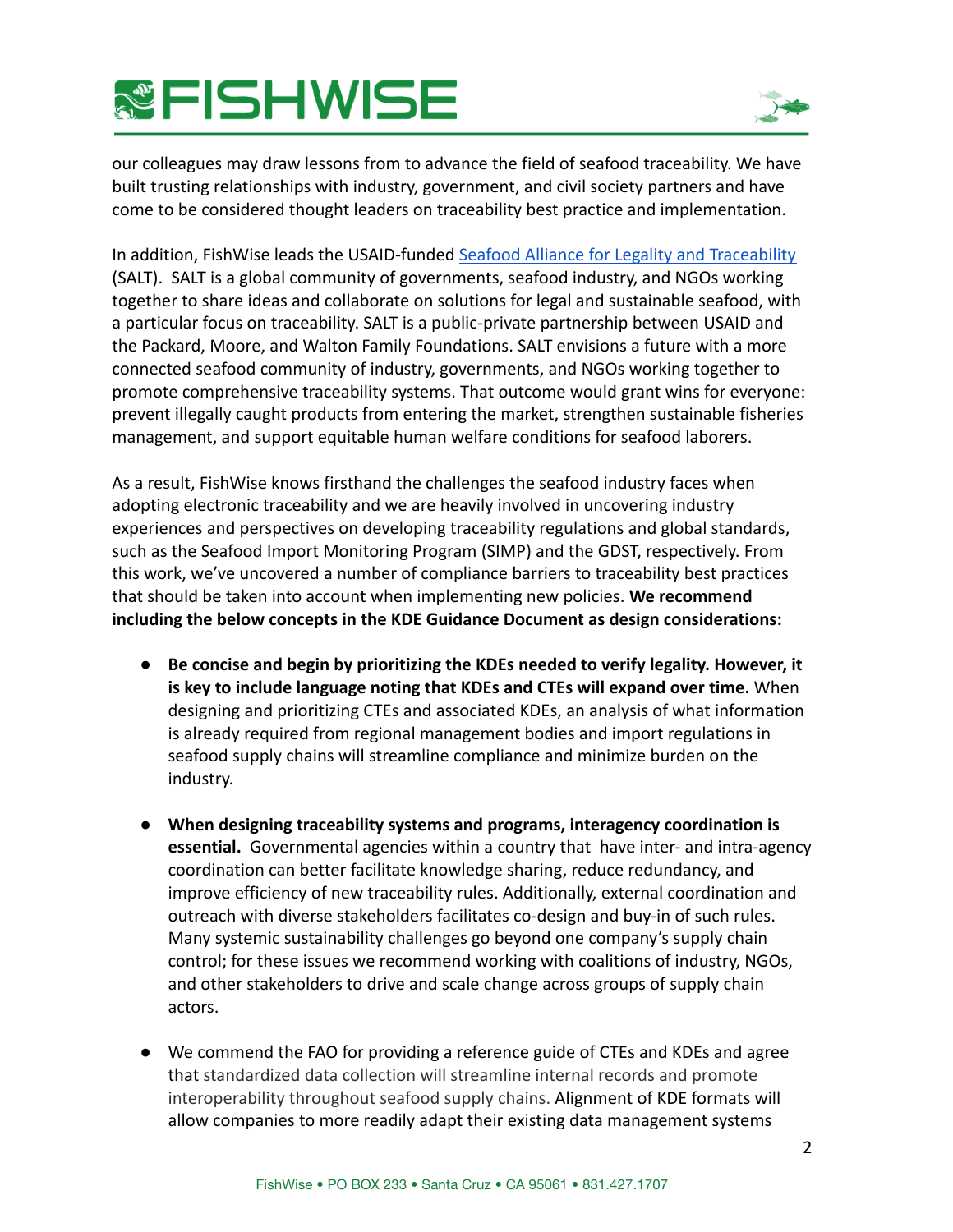## **&FISHWISE**



our colleagues may draw lessons from to advance the field of seafood traceability. We have built trusting relationships with industry, government, and civil society partners and have come to be considered thought leaders on traceability best practice and implementation.

In addition, FishWise leads the USAID-funded Seafood [Alliance for Legality and Traceability](https://www.salttraceability.org/) (SALT). SALT is a global community of governments, seafood industry, and NGOs working together to share ideas and collaborate on solutions for legal and sustainable seafood, with a particular focus on traceability. SALT is a public-private partnership between USAID and the Packard, Moore, and Walton Family Foundations. SALT envisions a future with a more connected seafood community of industry, governments, and NGOs working together to promote comprehensive traceability systems. That outcome would grant wins for everyone: prevent illegally caught products from entering the market, strengthen sustainable fisheries management, and support equitable human welfare conditions for seafood laborers.

As a result, FishWise knows firsthand the challenges the seafood industry faces when adopting electronic traceability and we are heavily involved in uncovering industry experiences and perspectives on developing traceability regulations and global standards, such as the Seafood Import Monitoring Program (SIMP) and the GDST, respectively. From this work, we've uncovered a number of compliance barriers to traceability best practices that should be taken into account when implementing new policies. **We recommend including the below concepts in the KDE Guidance Document as design considerations:**

- **Be concise and begin by prioritizing the KDEs needed to verify legality. However, it is key to include language noting that KDEs and CTEs will expand over time.** When designing and prioritizing CTEs and associated KDEs, an analysis of what information is already required from regional management bodies and import regulations in seafood supply chains will streamline compliance and minimize burden on the industry.
- **When designing traceability systems and programs, interagency coordination is essential.** Governmental agencies within a country that have inter- and intra-agency coordination can better facilitate knowledge sharing, reduce redundancy, and improve efficiency of new traceability rules. Additionally, external coordination and outreach with diverse stakeholders facilitates co-design and buy-in of such rules. Many systemic sustainability challenges go beyond one company's supply chain control; for these issues we recommend working with coalitions of industry, NGOs, and other stakeholders to drive and scale change across groups of supply chain actors.
- We commend the FAO for providing a reference guide of CTEs and KDEs and agree that standardized data collection will streamline internal records and promote interoperability throughout seafood supply chains. Alignment of KDE formats will allow companies to more readily adapt their existing data management systems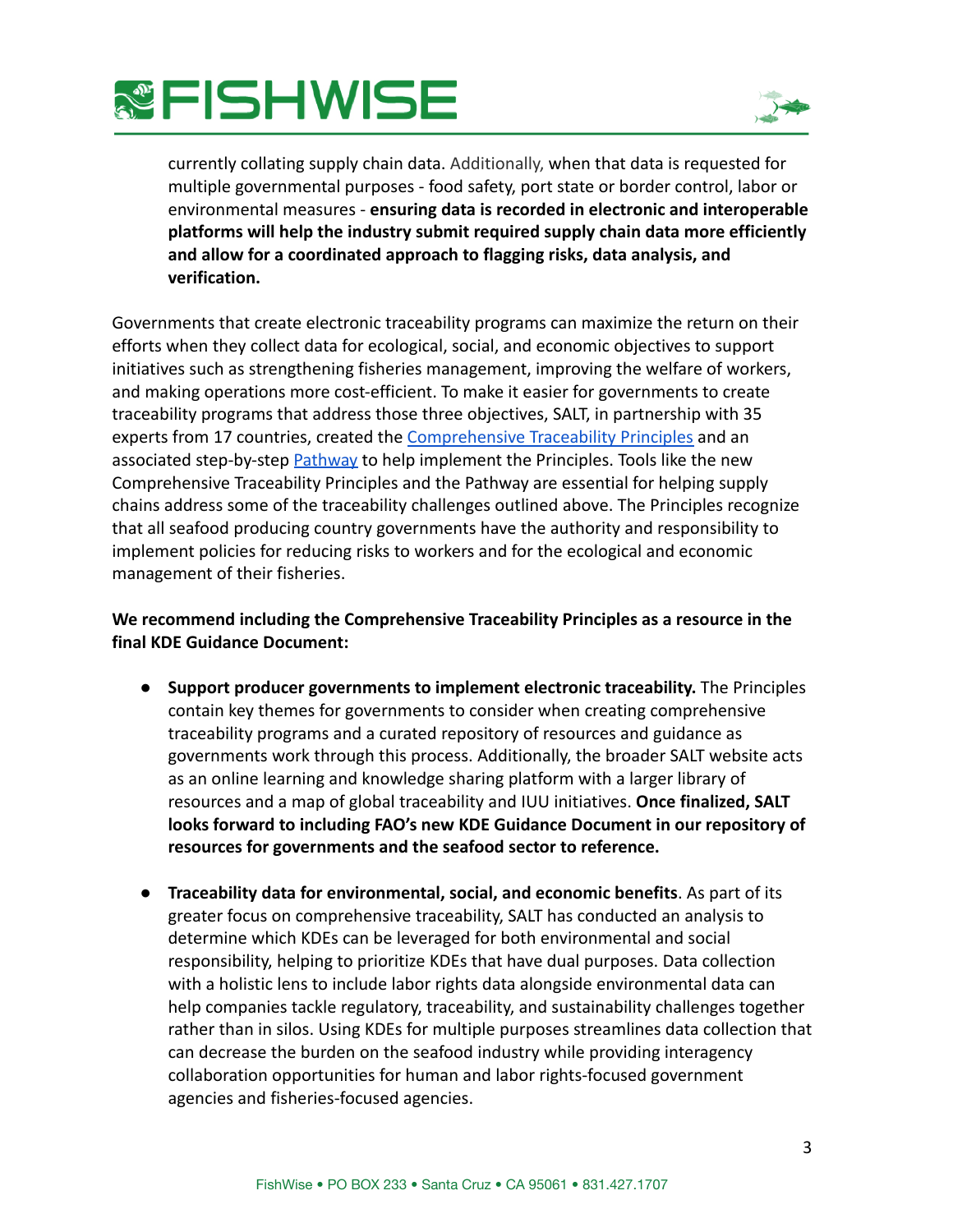



currently collating supply chain data. Additionally, when that data is requested for multiple governmental purposes - food safety, port state or border control, labor or environmental measures - **ensuring data is recorded in electronic and interoperable platforms will help the industry submit required supply chain data more efficiently and allow for a coordinated approach to flagging risks, data analysis, and verification.**

Governments that create electronic traceability programs can maximize the return on their efforts when they collect data for ecological, social, and economic objectives to support initiatives such as strengthening fisheries management, improving the welfare of workers, and making operations more cost-efficient. To make it easier for governments to create traceability programs that address those three objectives, SALT, in partnership with 35 experts from 17 countries, created the Comprehensive [Traceability Principles](https://www.salttraceability.org/traceability-principles/) and an associated step-by-step **[Pathway](https://www.salttraceability.org/traceability-principles/apply-them/)** to help implement the Principles. Tools like the new Comprehensive Traceability Principles and the Pathway are essential for helping supply chains address some of the traceability challenges outlined above. The Principles recognize that all seafood producing country governments have the authority and responsibility to implement policies for reducing risks to workers and for the ecological and economic management of their fisheries.

## **We recommend including the Comprehensive Traceability Principles as a resource in the final KDE Guidance Document:**

- **Support producer governments to implement electronic traceability.** The Principles contain key themes for governments to consider when creating comprehensive traceability programs and a curated repository of resources and guidance as governments work through this process. Additionally, the broader SALT website acts as an online learning and knowledge sharing platform with a larger library of resources and a map of global traceability and IUU initiatives. **Once finalized, SALT looks forward to including FAO's new KDE Guidance Document in our repository of resources for governments and the seafood sector to reference.**
- **Traceability data for environmental, social, and economic benefits**. As part of its greater focus on comprehensive traceability, SALT has conducted an analysis to determine which KDEs can be leveraged for both environmental and social responsibility, helping to prioritize KDEs that have dual purposes. Data collection with a holistic lens to include labor rights data alongside environmental data can help companies tackle regulatory, traceability, and sustainability challenges together rather than in silos. Using KDEs for multiple purposes streamlines data collection that can decrease the burden on the seafood industry while providing interagency collaboration opportunities for human and labor rights-focused government agencies and fisheries-focused agencies.